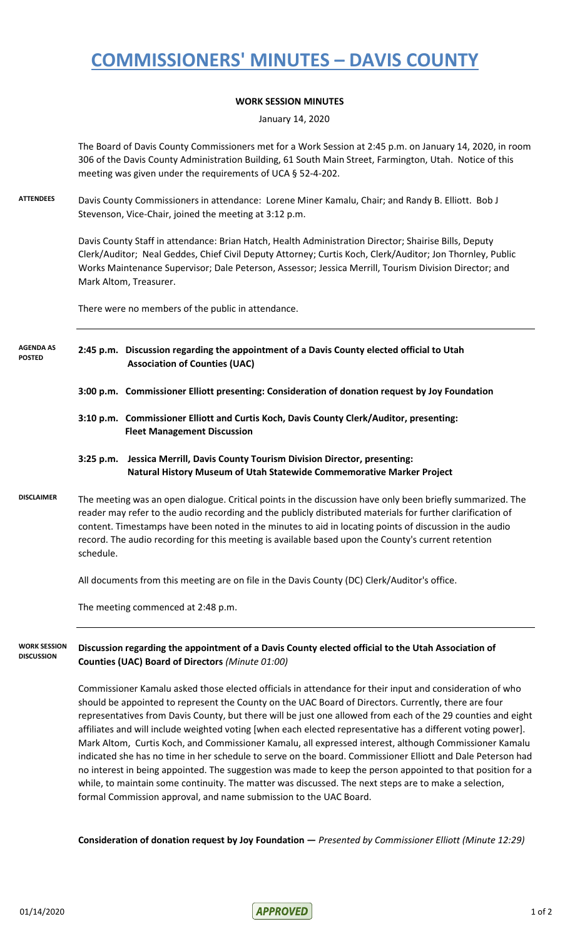## **COMMISSIONERS' MINUTES – DAVIS COUNTY**

### **WORK SESSION MINUTES**

January 14, 2020

The Board of Davis County Commissioners met for a Work Session at 2:45 p.m. on January 14, 2020, in room 306 of the Davis County Administration Building, 61 South Main Street, Farmington, Utah. Notice of this meeting was given under the requirements of UCA § 52-4-202.

**ATTENDEES** Davis County Commissioners in attendance: Lorene Miner Kamalu, Chair; and Randy B. Elliott. Bob J Stevenson, Vice-Chair, joined the meeting at 3:12 p.m.

> Davis County Staff in attendance: Brian Hatch, Health Administration Director; Shairise Bills, Deputy Clerk/Auditor; Neal Geddes, Chief Civil Deputy Attorney; Curtis Koch, Clerk/Auditor; Jon Thornley, Public Works Maintenance Supervisor; Dale Peterson, Assessor; Jessica Merrill, Tourism Division Director; and Mark Altom, Treasurer.

There were no members of the public in attendance.

- **2:45 p.m. Discussion regarding the appointment of a Davis County elected official to Utah Association of Counties (UAC) AGENDA AS POSTED**
	- **3:00 p.m. Commissioner Elliott presenting: Consideration of donation request by Joy Foundation**
	- **3:10 p.m. Commissioner Elliott and Curtis Koch, Davis County Clerk/Auditor, presenting: Fleet Management Discussion**
	- **3:25 p.m. Jessica Merrill, Davis County Tourism Division Director, presenting: Natural History Museum of Utah Statewide Commemorative Marker Project**
- **DISCLAIMER** The meeting was an open dialogue. Critical points in the discussion have only been briefly summarized. The reader may refer to the audio recording and the publicly distributed materials for further clarification of content. Timestamps have been noted in the minutes to aid in locating points of discussion in the audio record. The audio recording for this meeting is available based upon the County's current retention schedule.

All documents from this meeting are on file in the Davis County (DC) Clerk/Auditor's office.

The meeting commenced at 2:48 p.m.

**Discussion regarding the appointment of a Davis County elected official to the Utah Association of Counties (UAC) Board of Directors** *(Minute 01:00)* **WORK SESSION DISCUSSION**

> Commissioner Kamalu asked those elected officials in attendance for their input and consideration of who should be appointed to represent the County on the UAC Board of Directors. Currently, there are four representatives from Davis County, but there will be just one allowed from each of the 29 counties and eight affiliates and will include weighted voting [when each elected representative has a different voting power]. Mark Altom, Curtis Koch, and Commissioner Kamalu, all expressed interest, although Commissioner Kamalu indicated she has no time in her schedule to serve on the board. Commissioner Elliott and Dale Peterson had no interest in being appointed. The suggestion was made to keep the person appointed to that position for a while, to maintain some continuity. The matter was discussed. The next steps are to make a selection, formal Commission approval, and name submission to the UAC Board.

**Consideration of donation request by Joy Foundation —** *Presented by Commissioner Elliott (Minute 12:29)*